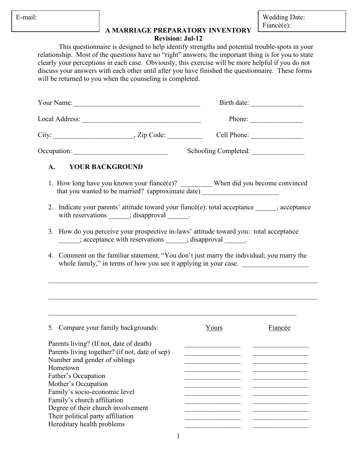| mai |  |
|-----|--|
|     |  |

Wedding Date: Fiancé(e):

## **A MARRIAGE PREPARATORY INVENTORY Revision: Jul-12**

This questionnaire is designed to help identify strengths and potential trouble-spots in your relationship. Most of the questions have no "right" answers; the important thing is for you to state clearly your perceptions in each case. Obviously, this exercise will be more helpful if you do not discuss your answers with each other until after you have finished the questionnaire. These forms will be returned to you when the counseling is completed.

|                                    |                                                                                                                                                                                                                                                                                                   | Birth date:                                                                                                                                                                                                                                                                                                                                                                                                                                                                                                                                                                                                                                                                                                                                                                                           |
|------------------------------------|---------------------------------------------------------------------------------------------------------------------------------------------------------------------------------------------------------------------------------------------------------------------------------------------------|-------------------------------------------------------------------------------------------------------------------------------------------------------------------------------------------------------------------------------------------------------------------------------------------------------------------------------------------------------------------------------------------------------------------------------------------------------------------------------------------------------------------------------------------------------------------------------------------------------------------------------------------------------------------------------------------------------------------------------------------------------------------------------------------------------|
|                                    |                                                                                                                                                                                                                                                                                                   | Phone: $\qquad \qquad$                                                                                                                                                                                                                                                                                                                                                                                                                                                                                                                                                                                                                                                                                                                                                                                |
|                                    |                                                                                                                                                                                                                                                                                                   |                                                                                                                                                                                                                                                                                                                                                                                                                                                                                                                                                                                                                                                                                                                                                                                                       |
|                                    |                                                                                                                                                                                                                                                                                                   |                                                                                                                                                                                                                                                                                                                                                                                                                                                                                                                                                                                                                                                                                                                                                                                                       |
|                                    |                                                                                                                                                                                                                                                                                                   |                                                                                                                                                                                                                                                                                                                                                                                                                                                                                                                                                                                                                                                                                                                                                                                                       |
|                                    |                                                                                                                                                                                                                                                                                                   |                                                                                                                                                                                                                                                                                                                                                                                                                                                                                                                                                                                                                                                                                                                                                                                                       |
|                                    |                                                                                                                                                                                                                                                                                                   |                                                                                                                                                                                                                                                                                                                                                                                                                                                                                                                                                                                                                                                                                                                                                                                                       |
|                                    |                                                                                                                                                                                                                                                                                                   |                                                                                                                                                                                                                                                                                                                                                                                                                                                                                                                                                                                                                                                                                                                                                                                                       |
|                                    |                                                                                                                                                                                                                                                                                                   |                                                                                                                                                                                                                                                                                                                                                                                                                                                                                                                                                                                                                                                                                                                                                                                                       |
|                                    |                                                                                                                                                                                                                                                                                                   |                                                                                                                                                                                                                                                                                                                                                                                                                                                                                                                                                                                                                                                                                                                                                                                                       |
|                                    | Yours                                                                                                                                                                                                                                                                                             | <b>Fiancée</b>                                                                                                                                                                                                                                                                                                                                                                                                                                                                                                                                                                                                                                                                                                                                                                                        |
| Degree of their church involvement |                                                                                                                                                                                                                                                                                                   |                                                                                                                                                                                                                                                                                                                                                                                                                                                                                                                                                                                                                                                                                                                                                                                                       |
|                                    | Occupation:<br><b>YOUR BACKGROUND</b><br>5. Compare your family backgrounds:<br>Parents living? (If not, date of death)<br>Parents living together? (if not, date of sep)<br>Number and gender of siblings<br>Mother's Occupation<br>Family's socio-economic level<br>Family's church affiliation | Your Name: $\_\_$<br>City: $\qquad \qquad \qquad \text{Lip Code:}$<br>Schooling Completed:<br>1. How long have you known your fiance (e)? ___________ When did you become convinced<br>that you wanted to be married? (approximate date) ______________________________<br>2. Indicate your parents' attitude toward your fiancé(e): total acceptance _____; acceptance<br>with reservations ______; disapproval ______.<br>3. How do you perceive your prospective in-laws' attitude toward you: total acceptance<br>_______; acceptance with reservations ______; disapproval ______.<br>Comment on the familiar statement, "You don't just marry the individual; you marry the<br>whole family," in terms of how you see it applying in your case.<br><u> 1989 - Andrea Andrew Maria (b. 1989)</u> |

1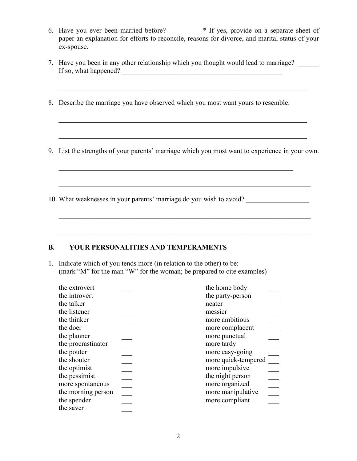- 6. Have you ever been married before? \_\_\_\_\_\_\_\_\_ \* If yes, provide on a separate sheet of paper an explanation for efforts to reconcile, reasons for divorce, and marital status of your ex-spouse.
- 7. Have you been in any other relationship which you thought would lead to marriage? If so, what happened? \_\_\_\_\_\_\_\_\_\_\_\_\_\_\_\_\_\_\_\_\_\_\_\_\_\_\_\_\_\_\_\_\_\_\_\_\_\_\_\_\_\_\_\_\_\_  $\mathcal{L}_\mathcal{L}$  , and the contribution of the contribution of the contribution of the contribution of the contribution of the contribution of the contribution of the contribution of the contribution of the contribution of 8. Describe the marriage you have observed which you most want yours to resemble:  $\_$  , and the contribution of the contribution of  $\mathcal{L}_\mathcal{A}$  , and the contribution of  $\mathcal{L}_\mathcal{A}$  $\_$  , and the set of the set of the set of the set of the set of the set of the set of the set of the set of the set of the set of the set of the set of the set of the set of the set of the set of the set of the set of th 9. List the strengths of your parents' marriage which you most want to experience in your own.  $\mathcal{L}_\mathcal{L} = \mathcal{L}_\mathcal{L} = \mathcal{L}_\mathcal{L} = \mathcal{L}_\mathcal{L} = \mathcal{L}_\mathcal{L} = \mathcal{L}_\mathcal{L} = \mathcal{L}_\mathcal{L} = \mathcal{L}_\mathcal{L} = \mathcal{L}_\mathcal{L} = \mathcal{L}_\mathcal{L} = \mathcal{L}_\mathcal{L} = \mathcal{L}_\mathcal{L} = \mathcal{L}_\mathcal{L} = \mathcal{L}_\mathcal{L} = \mathcal{L}_\mathcal{L} = \mathcal{L}_\mathcal{L} = \mathcal{L}_\mathcal{L}$  $\overline{\phantom{a}}$  , and the contract of the contract of the contract of the contract of the contract of the contract of the contract of the contract of the contract of the contract of the contract of the contract of the contrac 10. What weaknesses in your parents' marriage do you wish to avoid?  $\mathcal{L}_\mathcal{L} = \{ \mathcal{L}_\mathcal{L} = \{ \mathcal{L}_\mathcal{L} = \{ \mathcal{L}_\mathcal{L} = \{ \mathcal{L}_\mathcal{L} = \{ \mathcal{L}_\mathcal{L} = \{ \mathcal{L}_\mathcal{L} = \{ \mathcal{L}_\mathcal{L} = \{ \mathcal{L}_\mathcal{L} = \{ \mathcal{L}_\mathcal{L} = \{ \mathcal{L}_\mathcal{L} = \{ \mathcal{L}_\mathcal{L} = \{ \mathcal{L}_\mathcal{L} = \{ \mathcal{L}_\mathcal{L} = \{ \mathcal{L}_\mathcal{$  $\mathcal{L}_\mathcal{L} = \mathcal{L}_\mathcal{L} = \mathcal{L}_\mathcal{L} = \mathcal{L}_\mathcal{L} = \mathcal{L}_\mathcal{L} = \mathcal{L}_\mathcal{L} = \mathcal{L}_\mathcal{L} = \mathcal{L}_\mathcal{L} = \mathcal{L}_\mathcal{L} = \mathcal{L}_\mathcal{L} = \mathcal{L}_\mathcal{L} = \mathcal{L}_\mathcal{L} = \mathcal{L}_\mathcal{L} = \mathcal{L}_\mathcal{L} = \mathcal{L}_\mathcal{L} = \mathcal{L}_\mathcal{L} = \mathcal{L}_\mathcal{L}$

## **B. YOUR PERSONALITIES AND TEMPERAMENTS**

1. Indicate which of you tends more (in relation to the other) to be: (mark "M" for the man "W" for the woman; be prepared to cite examples)

| the extrovert      | the home body       |
|--------------------|---------------------|
| the introvert      | the party-person    |
| the talker         | neater              |
| the listener       | messier             |
| the thinker        | more ambitious      |
| the doer           | more complacent     |
| the planner        | more punctual       |
| the procrastinator | more tardy          |
| the pouter         | more easy-going     |
| the shouter        | more quick-tempered |
| the optimist       | more impulsive      |
| the pessimist      | the night person    |
| more spontaneous   | more organized      |
| the morning person | more manipulative   |
| the spender        | more compliant      |
| the saver          |                     |
|                    |                     |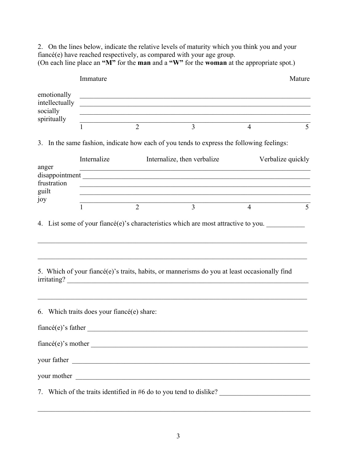2. On the lines below, indicate the relative levels of maturity which you think you and your fiancé(e) have reached respectively, as compared with your age group. (On each line place an **"M"** for the **man** and a **"W"** for the **woman** at the appropriate spot.)

|                                                          | Immature                                      |                |                                                                                                                                                                                                                                                                                             |                | Mature            |
|----------------------------------------------------------|-----------------------------------------------|----------------|---------------------------------------------------------------------------------------------------------------------------------------------------------------------------------------------------------------------------------------------------------------------------------------------|----------------|-------------------|
| emotionally<br>intellectually<br>socially<br>spiritually |                                               |                | <u> 1989 - Johann Stoff, amerikansk politiker (d. 1989)</u><br><u> 1989 - Johann Stoff, deutscher Stoffen und der Stoffen und der Stoffen und der Stoffen und der Stoffen und der</u><br>,我们也不能在这里的人,我们也不能在这里的人,我们也不能在这里的人,我们也不能在这里的人,我们也不能在这里的人,我们也不能在这里的人,我们也不能在这里的人,我们也<br>$\frac{2}{3}$ |                |                   |
|                                                          |                                               |                | $\overline{3}$                                                                                                                                                                                                                                                                              | $\overline{4}$ | 5                 |
|                                                          |                                               |                | 3. In the same fashion, indicate how each of you tends to express the following feelings:                                                                                                                                                                                                   |                |                   |
|                                                          | Internalize                                   |                | Internalize, then verbalize                                                                                                                                                                                                                                                                 |                | Verbalize quickly |
| anger<br>frustration<br>guilt                            |                                               |                | <u> 1989 - Johann Stoff, amerikansk politiker (d. 1989)</u>                                                                                                                                                                                                                                 |                |                   |
| joy                                                      | 1                                             | $\overline{2}$ | $\frac{2}{3}$ $\frac{3}{4}$<br>$\overline{3}$                                                                                                                                                                                                                                               | $\overline{4}$ | 5                 |
|                                                          |                                               |                | 5. Which of your fiancé(e)'s traits, habits, or mannerisms do you at least occasionally find<br>irritating?                                                                                                                                                                                 |                |                   |
|                                                          | 6. Which traits does your fiance $(e)$ share: |                | $\text{fiance}(e)$ 's father                                                                                                                                                                                                                                                                |                |                   |
|                                                          |                                               |                | $\text{fiance}(e)$ 's mother $\_\_\_\_\_\_\_\_\_\_\_\$                                                                                                                                                                                                                                      |                |                   |
|                                                          |                                               |                | your father <u>superior and the set of the set of the set of the set of the set of the set of the set of the set of the set of the set of the set of the set of the set of the set of the set of the set of the set of the set o</u>                                                        |                |                   |
|                                                          |                                               |                |                                                                                                                                                                                                                                                                                             |                |                   |
|                                                          |                                               |                | 7. Which of the traits identified in #6 do to you tend to dislike?                                                                                                                                                                                                                          |                |                   |

 $\mathcal{L}_\mathcal{L} = \{ \mathcal{L}_\mathcal{L} = \{ \mathcal{L}_\mathcal{L} = \{ \mathcal{L}_\mathcal{L} = \{ \mathcal{L}_\mathcal{L} = \{ \mathcal{L}_\mathcal{L} = \{ \mathcal{L}_\mathcal{L} = \{ \mathcal{L}_\mathcal{L} = \{ \mathcal{L}_\mathcal{L} = \{ \mathcal{L}_\mathcal{L} = \{ \mathcal{L}_\mathcal{L} = \{ \mathcal{L}_\mathcal{L} = \{ \mathcal{L}_\mathcal{L} = \{ \mathcal{L}_\mathcal{L} = \{ \mathcal{L}_\mathcal{$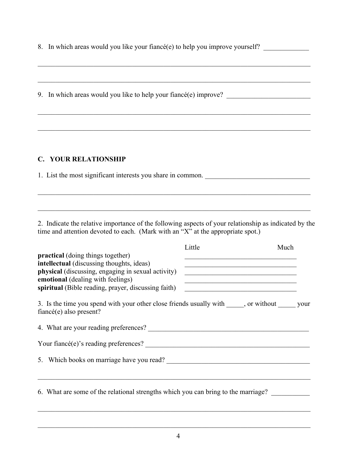8. In which areas would you like your fiancé(e) to help you improve yourself?

 $\mathcal{L}_\mathcal{L} = \{ \mathcal{L}_\mathcal{L} = \{ \mathcal{L}_\mathcal{L} = \{ \mathcal{L}_\mathcal{L} = \{ \mathcal{L}_\mathcal{L} = \{ \mathcal{L}_\mathcal{L} = \{ \mathcal{L}_\mathcal{L} = \{ \mathcal{L}_\mathcal{L} = \{ \mathcal{L}_\mathcal{L} = \{ \mathcal{L}_\mathcal{L} = \{ \mathcal{L}_\mathcal{L} = \{ \mathcal{L}_\mathcal{L} = \{ \mathcal{L}_\mathcal{L} = \{ \mathcal{L}_\mathcal{L} = \{ \mathcal{L}_\mathcal{$ 

 $\_$  , and the contribution of the contribution of the contribution of the contribution of  $\mathcal{L}_\text{max}$ 

 $\_$  , and the contribution of the contribution of the contribution of the contribution of  $\mathcal{L}_\text{max}$ 

\_\_\_\_\_\_\_\_\_\_\_\_\_\_\_\_\_\_\_\_\_\_\_\_\_\_\_\_\_\_\_\_\_\_\_\_\_\_\_\_\_\_\_\_\_\_\_\_\_\_\_\_\_\_\_\_\_\_\_\_\_\_\_\_\_\_\_\_\_\_\_\_\_\_\_\_\_\_

9. In which areas would you like to help your fiancé(e) improve? \_\_\_\_\_\_\_\_\_\_\_\_\_\_\_

## **C. YOUR RELATIONSHIP**

1. List the most significant interests you share in common.

2. Indicate the relative importance of the following aspects of your relationship as indicated by the time and attention devoted to each. (Mark with an "X" at the appropriate spot.)

 $\mathcal{L}_\mathcal{L} = \{ \mathcal{L}_\mathcal{L} = \{ \mathcal{L}_\mathcal{L} = \{ \mathcal{L}_\mathcal{L} = \{ \mathcal{L}_\mathcal{L} = \{ \mathcal{L}_\mathcal{L} = \{ \mathcal{L}_\mathcal{L} = \{ \mathcal{L}_\mathcal{L} = \{ \mathcal{L}_\mathcal{L} = \{ \mathcal{L}_\mathcal{L} = \{ \mathcal{L}_\mathcal{L} = \{ \mathcal{L}_\mathcal{L} = \{ \mathcal{L}_\mathcal{L} = \{ \mathcal{L}_\mathcal{L} = \{ \mathcal{L}_\mathcal{$ 

 $\mathcal{L}_\text{max}$  , and the set of the set of the set of the set of the set of the set of the set of the set of the set of

|                                                                                                                                                                                                                                         | Little                                                                                                                                                                                                                                                                                                                                                                                                    | Much |
|-----------------------------------------------------------------------------------------------------------------------------------------------------------------------------------------------------------------------------------------|-----------------------------------------------------------------------------------------------------------------------------------------------------------------------------------------------------------------------------------------------------------------------------------------------------------------------------------------------------------------------------------------------------------|------|
| <b>practical</b> (doing things together)<br>intellectual (discussing thoughts, ideas)<br>physical (discussing, engaging in sexual activity)<br>emotional (dealing with feelings)<br>spiritual (Bible reading, prayer, discussing faith) | <u> 1989 - Johann John Stone, markin sanat menganakan pada pada 1980 - Johann Stone, menganakan pada pada pada pada</u><br><u> 1989 - Johann John Stein, mars an deus Amerikaansk kommunister (</u><br><u> 1989 - Andrea Albert III, martin amerikan basal dan berasal dalam basal dalam basal dalam basal dalam basal da</u><br><u> 1989 - Johann John Stein, mars an deus Amerikaansk kommunister (</u> |      |
| 3. Is the time you spend with your other close friends usually with _____, or without ______ your<br>fiancé(e) also present?                                                                                                            |                                                                                                                                                                                                                                                                                                                                                                                                           |      |
| 4. What are your reading preferences?                                                                                                                                                                                                   |                                                                                                                                                                                                                                                                                                                                                                                                           |      |
| Your fiancé(e)'s reading preferences?                                                                                                                                                                                                   |                                                                                                                                                                                                                                                                                                                                                                                                           |      |
| 5. Which books on marriage have you read?                                                                                                                                                                                               |                                                                                                                                                                                                                                                                                                                                                                                                           |      |
|                                                                                                                                                                                                                                         |                                                                                                                                                                                                                                                                                                                                                                                                           |      |
| 6. What are some of the relational strengths which you can bring to the marriage?                                                                                                                                                       |                                                                                                                                                                                                                                                                                                                                                                                                           |      |
|                                                                                                                                                                                                                                         |                                                                                                                                                                                                                                                                                                                                                                                                           |      |

 $\_$  , and the contribution of the contribution of the contribution of the contribution of  $\mathcal{L}_\text{max}$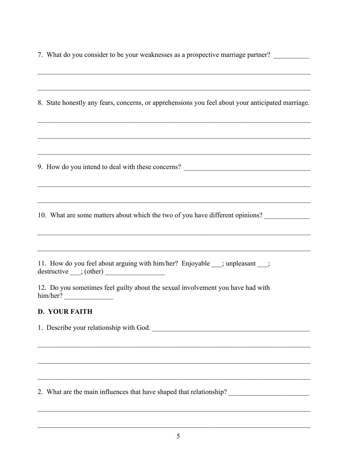7. What do you consider to be your weaknesses as a prospective marriage partner?

| 8. State honestly any fears, concerns, or apprehensions you feel about your anticipated marriage.<br>,我们也不能在这里的人,我们也不能在这里的人,我们也不能在这里的人,我们也不能在这里的人,我们也不能在这里的人,我们也不能在这里的人,我们也不能在这里的人,我们也 |
|----------------------------------------------------------------------------------------------------------------------------------------------------------------------------------------|
|                                                                                                                                                                                        |
| 9. How do you intend to deal with these concerns? ______________________________                                                                                                       |
|                                                                                                                                                                                        |
| 10. What are some matters about which the two of you have different opinions?<br>,我们也不能在这里的人,我们也不能在这里的人,我们也不能不能在这里的人,我们也不能不能不能不能不能不能不能不能。""我们,我们也不能不能不能不能不能不能不能不能                      |
|                                                                                                                                                                                        |
| 11. How do you feel about arguing with him/her? Enjoyable __; unpleasant __;<br>$\text{destructive}$ (other)                                                                           |
| 12. Do you sometimes feel guilty about the sexual involvement you have had with                                                                                                        |
| <b>D. YOUR FAITH</b>                                                                                                                                                                   |
| 1. Describe your relationship with God.                                                                                                                                                |
|                                                                                                                                                                                        |
|                                                                                                                                                                                        |
|                                                                                                                                                                                        |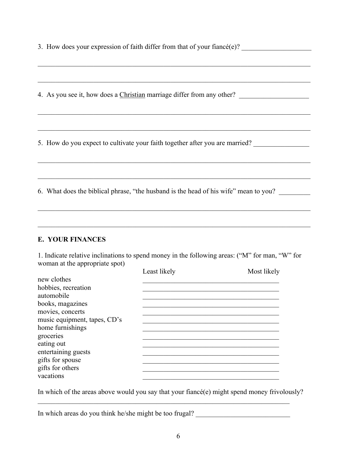3. How does your expression of faith differ from that of your fiance  $(e)$ ?

 $\mathcal{L}_\mathcal{L} = \{ \mathcal{L}_\mathcal{L} = \{ \mathcal{L}_\mathcal{L} = \{ \mathcal{L}_\mathcal{L} = \{ \mathcal{L}_\mathcal{L} = \{ \mathcal{L}_\mathcal{L} = \{ \mathcal{L}_\mathcal{L} = \{ \mathcal{L}_\mathcal{L} = \{ \mathcal{L}_\mathcal{L} = \{ \mathcal{L}_\mathcal{L} = \{ \mathcal{L}_\mathcal{L} = \{ \mathcal{L}_\mathcal{L} = \{ \mathcal{L}_\mathcal{L} = \{ \mathcal{L}_\mathcal{L} = \{ \mathcal{L}_\mathcal{$ 

 $\_$  , and the contribution of the contribution of the contribution of the contribution of  $\mathcal{L}_\text{max}$ 

 $\_$  , and the contribution of the contribution of the contribution of the contribution of  $\mathcal{L}_\text{max}$ 

 $\_$  , and the contribution of the contribution of the contribution of the contribution of  $\mathcal{L}_\text{max}$ 

 $\mathcal{L}_\mathcal{L} = \{ \mathcal{L}_\mathcal{L} = \{ \mathcal{L}_\mathcal{L} = \{ \mathcal{L}_\mathcal{L} = \{ \mathcal{L}_\mathcal{L} = \{ \mathcal{L}_\mathcal{L} = \{ \mathcal{L}_\mathcal{L} = \{ \mathcal{L}_\mathcal{L} = \{ \mathcal{L}_\mathcal{L} = \{ \mathcal{L}_\mathcal{L} = \{ \mathcal{L}_\mathcal{L} = \{ \mathcal{L}_\mathcal{L} = \{ \mathcal{L}_\mathcal{L} = \{ \mathcal{L}_\mathcal{L} = \{ \mathcal{L}_\mathcal{$ 

\_\_\_\_\_\_\_\_\_\_\_\_\_\_\_\_\_\_\_\_\_\_\_\_\_\_\_\_\_\_\_\_\_\_\_\_\_\_\_\_\_\_\_\_\_\_\_\_\_\_\_\_\_\_\_\_\_\_\_\_\_\_\_\_\_\_\_\_\_\_\_\_\_\_\_\_\_\_

 $\mathcal{L}_\mathcal{L} = \{ \mathcal{L}_\mathcal{L} = \{ \mathcal{L}_\mathcal{L} = \{ \mathcal{L}_\mathcal{L} = \{ \mathcal{L}_\mathcal{L} = \{ \mathcal{L}_\mathcal{L} = \{ \mathcal{L}_\mathcal{L} = \{ \mathcal{L}_\mathcal{L} = \{ \mathcal{L}_\mathcal{L} = \{ \mathcal{L}_\mathcal{L} = \{ \mathcal{L}_\mathcal{L} = \{ \mathcal{L}_\mathcal{L} = \{ \mathcal{L}_\mathcal{L} = \{ \mathcal{L}_\mathcal{L} = \{ \mathcal{L}_\mathcal{$ 

 $\mathcal{L}_\mathcal{L} = \{ \mathcal{L}_\mathcal{L} = \{ \mathcal{L}_\mathcal{L} = \{ \mathcal{L}_\mathcal{L} = \{ \mathcal{L}_\mathcal{L} = \{ \mathcal{L}_\mathcal{L} = \{ \mathcal{L}_\mathcal{L} = \{ \mathcal{L}_\mathcal{L} = \{ \mathcal{L}_\mathcal{L} = \{ \mathcal{L}_\mathcal{L} = \{ \mathcal{L}_\mathcal{L} = \{ \mathcal{L}_\mathcal{L} = \{ \mathcal{L}_\mathcal{L} = \{ \mathcal{L}_\mathcal{L} = \{ \mathcal{L}_\mathcal{$ 

4. As you see it, how does a Christian marriage differ from any other?

5. How do you expect to cultivate your faith together after you are married?

6. What does the biblical phrase, "the husband is the head of his wife" mean to you?

## **E. YOUR FINANCES**

1. Indicate relative inclinations to spend money in the following areas: ("M" for man, "W" for woman at the appropriate spot)

| Least likely | Most likely |
|--------------|-------------|
|              |             |
|              |             |
|              |             |
|              |             |
|              |             |
|              |             |
|              |             |
|              |             |
|              |             |
|              |             |
|              |             |
|              |             |
|              |             |
|              |             |

In which of the areas above would you say that your fiance  $(e)$  might spend money frivolously?

 $\mathcal{L}_\mathcal{L} = \{ \mathcal{L}_\mathcal{L} = \{ \mathcal{L}_\mathcal{L} = \{ \mathcal{L}_\mathcal{L} = \{ \mathcal{L}_\mathcal{L} = \{ \mathcal{L}_\mathcal{L} = \{ \mathcal{L}_\mathcal{L} = \{ \mathcal{L}_\mathcal{L} = \{ \mathcal{L}_\mathcal{L} = \{ \mathcal{L}_\mathcal{L} = \{ \mathcal{L}_\mathcal{L} = \{ \mathcal{L}_\mathcal{L} = \{ \mathcal{L}_\mathcal{L} = \{ \mathcal{L}_\mathcal{L} = \{ \mathcal{L}_\mathcal{$ 

In which areas do you think he/she might be too frugal? \_\_\_\_\_\_\_\_\_\_\_\_\_\_\_\_\_\_\_\_\_\_\_\_\_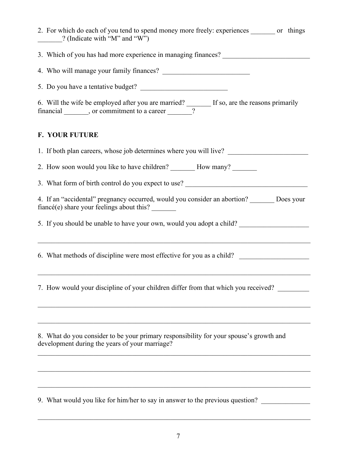| 2. For which do each of you tend to spend money more freely: experiences _______ or things<br>[20] (Indicate with "M" and "W")                                                                 |
|------------------------------------------------------------------------------------------------------------------------------------------------------------------------------------------------|
| 3. Which of you has had more experience in managing finances? __________________                                                                                                               |
|                                                                                                                                                                                                |
| 5. Do you have a tentative budget?                                                                                                                                                             |
| 6. Will the wife be employed after you are married? $\frac{1}{2}$ If so, are the reasons primarily financial or commitment to a career<br>financial _______, or commitment to a career _______ |
| <b>F. YOUR FUTURE</b>                                                                                                                                                                          |
| 1. If both plan careers, whose job determines where you will live?                                                                                                                             |
|                                                                                                                                                                                                |
| 3. What form of birth control do you expect to use?                                                                                                                                            |
| 4. If an "accidental" pregnancy occurred, would you consider an abortion? _______ Does your<br>fiancé(e) share your feelings about this?                                                       |
| 5. If you should be unable to have your own, would you adopt a child?                                                                                                                          |
| 6. What methods of discipline were most effective for you as a child?                                                                                                                          |
| 7. How would your discipline of your children differ from that which you received?                                                                                                             |
|                                                                                                                                                                                                |
| 8. What do you consider to be your primary responsibility for your spouse's growth and<br>development during the years of your marriage?                                                       |
|                                                                                                                                                                                                |
|                                                                                                                                                                                                |
| 9. What would you like for him/her to say in answer to the previous question?                                                                                                                  |